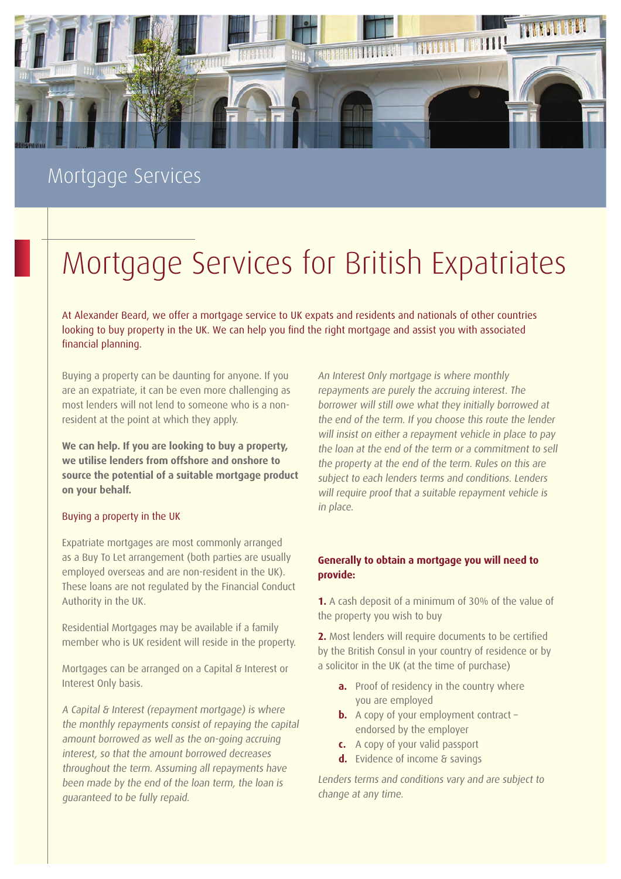

## Mortgage Services

# Mortgage Services for British Expatriates

At Alexander Beard, we offer a mortgage service to UK expats and residents and nationals of other countries looking to buy property in the UK. We can help you find the right mortgage and assist you with associated financial planning.

Buying a property can be daunting for anyone. If you are an expatriate, it can be even more challenging as most lenders will not lend to someone who is a nonresident at the point at which they apply.

**We can help. If you are looking to buy a property, we utilise lenders from offshore and onshore to source the potential of a suitable mortgage product on your behalf.**

#### Buying a property in the UK

Expatriate mortgages are most commonly arranged as a Buy To Let arrangement (both parties are usually employed overseas and are non-resident in the UK). These loans are not regulated by the Financial Conduct Authority in the UK.

Residential Mortgages may be available if a family member who is UK resident will reside in the property.

Mortgages can be arranged on a Capital & Interest or Interest Only basis.

A Capital & Interest (repayment mortgage) is where the monthly repayments consist of repaying the capital amount borrowed as well as the on-going accruing interest, so that the amount borrowed decreases throughout the term. Assuming all repayments have been made by the end of the loan term, the loan is guaranteed to be fully repaid.

An Interest Only mortgage is where monthly repayments are purely the accruing interest. The borrower will still owe what they initially borrowed at the end of the term. If you choose this route the lender will insist on either a repayment vehicle in place to pay the loan at the end of the term or a commitment to sell the property at the end of the term. Rules on this are subject to each lenders terms and conditions. Lenders will require proof that a suitable repayment vehicle is in place.

### **Generally to obtain a mortgage you will need to provide:**

**1.** A cash deposit of a minimum of 30% of the value of the property you wish to buy

**2.** Most lenders will require documents to be certified by the British Consul in your country of residence or by a solicitor in the UK (at the time of purchase)

- **a.** Proof of residency in the country where you are employed
- **b.** A copy of your employment contract endorsed by the employer
- **c.** A copy of your valid passport
- **d.** Evidence of income & savings

Lenders terms and conditions vary and are subject to change at any time.